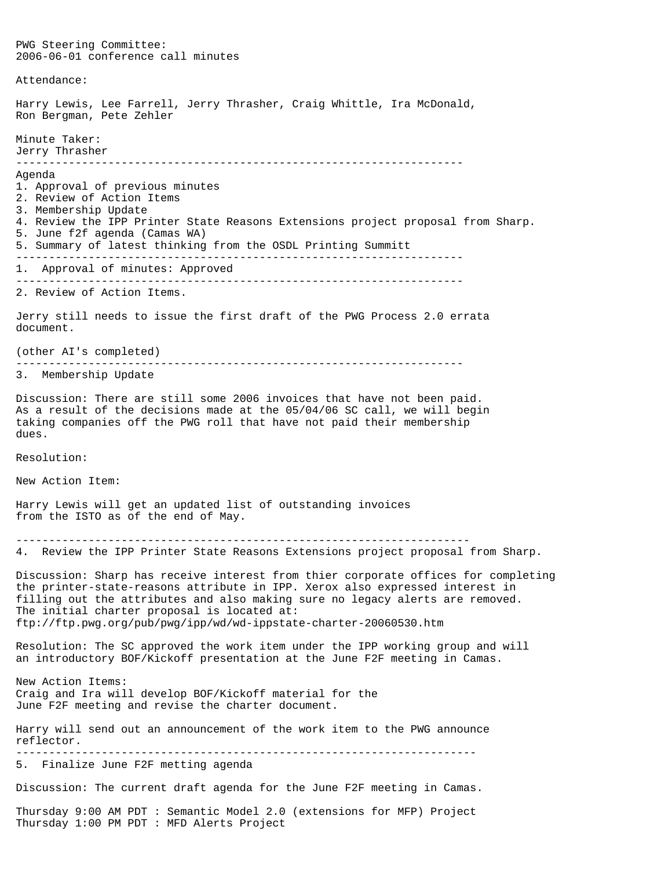PWG Steering Committee: 2006-06-01 conference call minutes Attendance: Harry Lewis, Lee Farrell, Jerry Thrasher, Craig Whittle, Ira McDonald, Ron Bergman, Pete Zehler Minute Taker: Jerry Thrasher -------------------------------------------------------------------- Agenda 1. Approval of previous minutes 2. Review of Action Items 3. Membership Update 4. Review the IPP Printer State Reasons Extensions project proposal from Sharp. 5. June f2f agenda (Camas WA) 5. Summary of latest thinking from the OSDL Printing Summitt -------------------------------------------------------------------- 1. Approval of minutes: Approved -------------------------------------------------------------------- 2. Review of Action Items. Jerry still needs to issue the first draft of the PWG Process 2.0 errata document. (other AI's completed) -------------------------------------------------------------------- 3. Membership Update Discussion: There are still some 2006 invoices that have not been paid. As a result of the decisions made at the 05/04/06 SC call, we will begin taking companies off the PWG roll that have not paid their membership dues. Resolution: New Action Item: Harry Lewis will get an updated list of outstanding invoices from the ISTO as of the end of May. --------------------------------------------------------------------- 4. Review the IPP Printer State Reasons Extensions project proposal from Sharp. Discussion: Sharp has receive interest from thier corporate offices for completing the printer-state-reasons attribute in IPP. Xerox also expressed interest in filling out the attributes and also making sure no legacy alerts are removed. The initial charter proposal is located at: ftp://ftp.pwg.org/pub/pwg/ipp/wd/wd-ippstate-charter-20060530.htm Resolution: The SC approved the work item under the IPP working group and will an introductory BOF/Kickoff presentation at the June F2F meeting in Camas. New Action Items: Craig and Ira will develop BOF/Kickoff material for the June F2F meeting and revise the charter document. Harry will send out an announcement of the work item to the PWG announce reflector. ---------------------------------------------------------------------- 5. Finalize June F2F metting agenda Discussion: The current draft agenda for the June F2F meeting in Camas. Thursday 9:00 AM PDT : Semantic Model 2.0 (extensions for MFP) Project Thursday 1:00 PM PDT : MFD Alerts Project